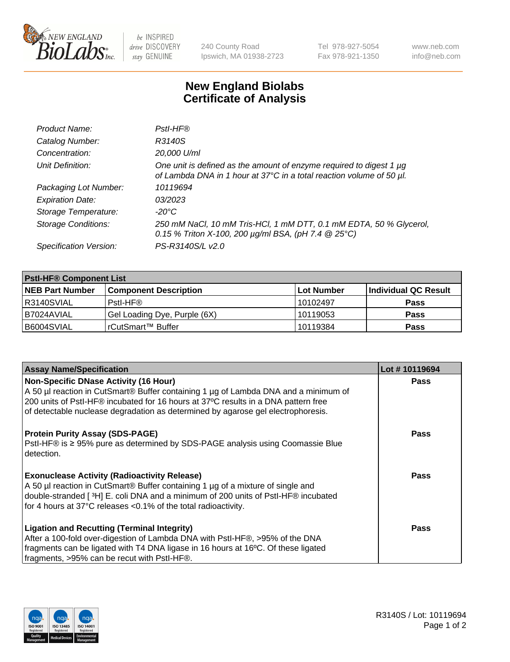

be INSPIRED drive DISCOVERY stay GENUINE

240 County Road Ipswich, MA 01938-2723 Tel 978-927-5054 Fax 978-921-1350 www.neb.com info@neb.com

## **New England Biolabs Certificate of Analysis**

| Product Name:              | Pstl-HF®                                                                                                                                             |
|----------------------------|------------------------------------------------------------------------------------------------------------------------------------------------------|
| Catalog Number:            | R3140S                                                                                                                                               |
| Concentration:             | 20,000 U/ml                                                                                                                                          |
| Unit Definition:           | One unit is defined as the amount of enzyme required to digest 1 µg<br>of Lambda DNA in 1 hour at 37°C in a total reaction volume of 50 µl.          |
| Packaging Lot Number:      | 10119694                                                                                                                                             |
| <b>Expiration Date:</b>    | 03/2023                                                                                                                                              |
| Storage Temperature:       | $-20^{\circ}$ C                                                                                                                                      |
| <b>Storage Conditions:</b> | 250 mM NaCl, 10 mM Tris-HCl, 1 mM DTT, 0.1 mM EDTA, 50 % Glycerol,<br>0.15 % Triton X-100, 200 $\mu$ g/ml BSA, (pH 7.4 $\textcircled{25}^{\circ}$ C) |
| Specification Version:     | PS-R3140S/L v2.0                                                                                                                                     |

| <b>PstI-HF® Component List</b> |                              |            |                      |  |
|--------------------------------|------------------------------|------------|----------------------|--|
| <b>NEB Part Number</b>         | <b>Component Description</b> | Lot Number | Individual QC Result |  |
| R3140SVIAL                     | Pstl-HF®                     | 10102497   | <b>Pass</b>          |  |
| B7024AVIAL                     | Gel Loading Dye, Purple (6X) | 10119053   | <b>Pass</b>          |  |
| B6004SVIAL                     | l rCutSmart™ Buffer          | 10119384   | <b>Pass</b>          |  |

| <b>Assay Name/Specification</b>                                                                 | Lot #10119694 |
|-------------------------------------------------------------------------------------------------|---------------|
| <b>Non-Specific DNase Activity (16 Hour)</b>                                                    | <b>Pass</b>   |
| A 50 µl reaction in CutSmart <sup>®</sup> Buffer containing 1 µg of Lambda DNA and a minimum of |               |
| 200 units of Pstl-HF® incubated for 16 hours at 37°C results in a DNA pattern free              |               |
| of detectable nuclease degradation as determined by agarose gel electrophoresis.                |               |
| <b>Protein Purity Assay (SDS-PAGE)</b>                                                          | Pass          |
| PstI-HF® is ≥ 95% pure as determined by SDS-PAGE analysis using Coomassie Blue                  |               |
| detection.                                                                                      |               |
|                                                                                                 |               |
| <b>Exonuclease Activity (Radioactivity Release)</b>                                             | Pass          |
| A 50 µl reaction in CutSmart® Buffer containing 1 µg of a mixture of single and                 |               |
| double-stranded [3H] E. coli DNA and a minimum of 200 units of PstI-HF® incubated               |               |
| for 4 hours at 37°C releases <0.1% of the total radioactivity.                                  |               |
| <b>Ligation and Recutting (Terminal Integrity)</b>                                              | Pass          |
| After a 100-fold over-digestion of Lambda DNA with PstI-HF®, >95% of the DNA                    |               |
| fragments can be ligated with T4 DNA ligase in 16 hours at 16°C. Of these ligated               |               |
| fragments, >95% can be recut with Pstl-HF®.                                                     |               |